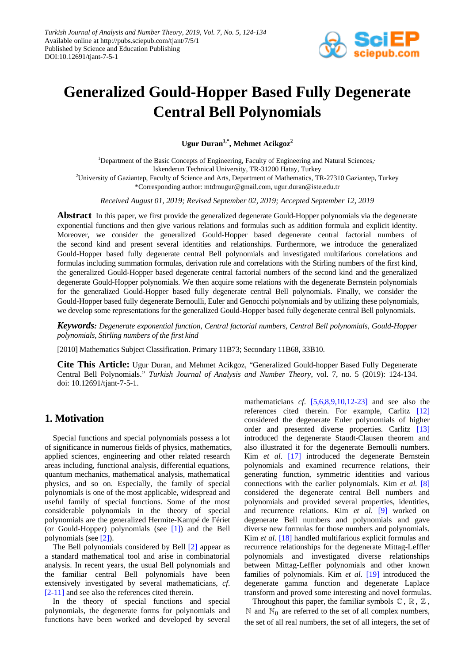

# **Generalized Gould-Hopper Based Fully Degenerate Central Bell Polynomials**

**Ugur Duran1,\* , Mehmet Acikgoz2**

<sup>1</sup>Department of the Basic Concepts of Engineering, Faculty of Engineering and Natural Sciences, Iskenderun Technical University, TR-31200 Hatay, Turkey <sup>2</sup>University of Gaziantep, Faculty of Science and Arts, Department of Mathematics, TR-27310 Gaziantep, Turkey \*Corresponding author: mtdrnugur@gmail.com, ugur.duran@iste.edu.tr

*Received August 01, 2019; Revised September 02, 2019; Accepted September 12, 2019*

**Abstract** In this paper, we first provide the generalized degenerate Gould-Hopper polynomials via the degenerate exponential functions and then give various relations and formulas such as addition formula and explicit identity. Moreover, we consider the generalized Gould-Hopper based degenerate central factorial numbers of the second kind and present several identities and relationships. Furthermore, we introduce the generalized Gould-Hopper based fully degenerate central Bell polynomials and investigated multifarious correlations and formulas including summation formulas, derivation rule and correlations with the Stirling numbers of the first kind, the generalized Gould-Hopper based degenerate central factorial numbers of the second kind and the generalized degenerate Gould-Hopper polynomials. We then acquire some relations with the degenerate Bernstein polynomials for the generalized Gould-Hopper based fully degenerate central Bell polynomials. Finally, we consider the Gould-Hopper based fully degenerate Bernoulli, Euler and Genocchi polynomials and by utilizing these polynomials, we develop some representations for the generalized Gould-Hopper based fully degenerate central Bell polynomials.

*Keywords: Degenerate exponential function, Central factorial numbers, Central Bell polynomials, Gould-Hopper polynomials, Stirling numbers of the first kind*

[2010] Mathematics Subject Classification. Primary 11B73; Secondary 11B68, 33B10.

**Cite This Article:** Ugur Duran, and Mehmet Acikgoz, "Generalized Gould-hopper Based Fully Degenerate Central Bell Polynomials." *Turkish Journal of Analysis and Number Theory*, vol. 7, no. 5 (2019): 124-134. doi: 10.12691/tjant-7-5-1.

## **1. Motivation**

Special functions and special polynomials possess a lot of significance in numerous fields of physics, mathematics, applied sciences, engineering and other related research areas including, functional analysis, differential equations, quantum mechanics, mathematical analysis, mathematical physics, and so on. Especially, the family of special polynomials is one of the most applicable, widespread and useful family of special functions. Some of the most considerable polynomials in the theory of special polynomials are the generalized Hermite-Kampé de Fériet (or Gould-Hopper) polynomials (see [\[1\]\)](#page-9-0) and the Bell polynomials (see [\[2\]\)](#page-9-1).

The Bell polynomials considered by Bell [\[2\]](#page-9-1) appear as a standard mathematical tool and arise in combinatorial analysis. In recent years, the usual Bell polynomials and the familiar central Bell polynomials have been extensively investigated by several mathematicians, *cf*. [\[2-11\]](#page-9-1) and see also the references cited therein.

In the theory of special functions and special polynomials, the degenerate forms for polynomials and functions have been worked and developed by several

mathematicians *cf*. [\[5,6,8,9,10,12-23\]](#page-9-2) and see also the references cited therein. For example, Carlitz [\[12\]](#page-9-3) considered the degenerate Euler polynomials of higher order and presented diverse properties. Carlitz [\[13\]](#page-9-4) introduced the degenerate Staudt-Clausen theorem and also illustrated it for the degenerate Bernoulli numbers. Kim *et al*. [\[17\]](#page-9-5) introduced the degenerate Bernstein polynomials and examined recurrence relations, their generating function, symmetric identities and various connections with the earlier polynomials. Kim *et al.* [\[8\]](#page-9-6) considered the degenerate central Bell numbers and polynomials and provided several properties, identities, and recurrence relations. Kim *et al*. [\[9\]](#page-9-7) worked on degenerate Bell numbers and polynomials and gave diverse new formulas for those numbers and polynomials. Kim *et al.* [\[18\]](#page-9-8) handled multifarious explicit formulas and recurrence relationships for the degenerate Mittag-Leffler polynomials and investigated diverse relationships between Mittag-Leffler polynomials and other known families of polynomials. Kim *et al.* [\[19\]](#page-9-9) introduced the degenerate gamma function and degenerate Laplace transform and proved some interesting and novel formulas.

Throughout this paper, the familiar symbols  $\mathbb{C}$ ,  $\mathbb{R}$ ,  $\mathbb{Z}$ ,  $\mathbb N$  and  $\mathbb N_0$  are referred to the set of all complex numbers, the set of all real numbers, the set of all integers, the set of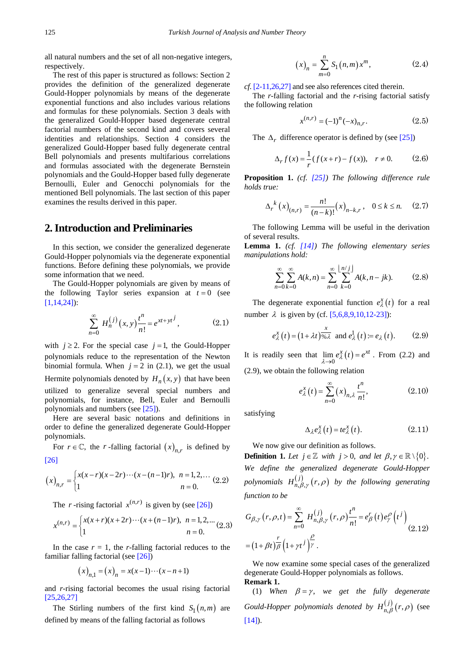all natural numbers and the set of all non-negative integers, respectively.

The rest of this paper is structured as follows: Section 2 provides the definition of the generalized degenerate Gould-Hopper polynomials by means of the degenerate exponential functions and also includes various relations and formulas for these polynomials. Section 3 deals with the generalized Gould-Hopper based degenerate central factorial numbers of the second kind and covers several identities and relationships. Section 4 considers the generalized Gould-Hopper based fully degenerate central Bell polynomials and presents multifarious correlations and formulas associated with the degenerate Bernstein polynomials and the Gould-Hopper based fully degenerate Bernoulli, Euler and Genocchi polynomials for the mentioned Bell polynomials. The last section of this paper examines the results derived in this paper.

#### **2. Introduction and Preliminaries**

In this section, we consider the generalized degenerate Gould-Hopper polynomials via the degenerate exponential functions. Before defining these polynomials, we provide some information that we need.

The Gould-Hopper polynomials are given by means of the following Taylor series expansion at  $t = 0$  (see [\[1,14,24\]\)](#page-9-0):

$$
\sum_{n=0}^{\infty} H_n^{(j)}(x, y) \frac{t^n}{n!} = e^{xt + yt^j},
$$
 (2.1)

with  $j \ge 2$ . For the special case  $j = 1$ , the Gould-Hopper polynomials reduce to the representation of the Newton binomial formula. When  $j = 2$  in (2.1), we get the usual Hermite polynomials denoted by  $H_n(x, y)$  that have been utilized to generalize several special numbers and polynomials, for instance, Bell, Euler and Bernoulli polynomials and numbers (see [\[25\]\)](#page-9-10).

Here are several basic notations and definitions in order to define the generalized degenerate Gould-Hopper polynomials.

For  $r \in \mathbb{C}$ , the *r*-falling factorial  $(x)_{n,r}$  is defined by [\[26\]](#page-9-11)

$$
(x)_{n,r} = \begin{cases} x(x-r)(x-2r)\cdots(x-(n-1)r), & n = 1,2,\dots \\ 1 & n = 0. \end{cases}
$$
 (2.2)

The *r* -rising factorial  $x^{(n,r)}$  is given by (see [\[26\]\)](#page-9-11)

$$
x^{(n,r)} = \begin{cases} x(x+r)(x+2r)\cdots(x+(n-1)r), & n = 1,2,\dots \\ 1 & n = 0. \end{cases}
$$
 (2.3)

In the case  $r = 1$ , the *r*-falling factorial reduces to the familiar falling factorial (see [\[26\]\)](#page-9-11)

$$
(x)_{n,1} = (x)_n = x(x-1)\cdots(x-n+1)
$$

and *r*-rising factorial becomes the usual rising factorial [\[25,26,27\]](#page-9-10)

The Stirling numbers of the first kind  $S_1(n,m)$  are defined by means of the falling factorial as follows

$$
(x)_n = \sum_{m=0}^n S_1(n,m) x^m,
$$
 (2.4)

*cf*[. \[2-11,26,27\]](#page-9-1) and see also references cited therein.

The *r*-falling factorial and the *r*-rising factorial satisfy the following relation

$$
x^{(n,r)} = (-1)^n (-x)_{n,r}.
$$
 (2.5)

The  $\Delta_r$  difference operator is defined by (see [\[25\]\)](#page-9-10)

$$
\Delta_r f(x) = \frac{1}{r} (f(x+r) - f(x)), \quad r \neq 0.
$$
 (2.6)

**Proposition 1.** *(cf. [\[25\]\)](#page-9-10) The following difference rule holds true:*

$$
\Delta_r^{\ k}(x)_{(n,r)} = \frac{n!}{(n-k)!} (x)_{n-k,r}, \quad 0 \le k \le n. \tag{2.7}
$$

The following Lemma will be useful in the derivation of several results.

**Lemma 1.** *(cf. [\[14\]\)](#page-9-12) The following elementary series manipulations hold:*

$$
\sum_{n=0}^{\infty} \sum_{k=0}^{\infty} A(k, n) = \sum_{n=0}^{\infty} \sum_{k=0}^{\lfloor n/ j \rfloor} A(k, n - jk).
$$
 (2.8)

The degenerate exponential function  $e_{\lambda}^{x}(t)$  for a real number  $\lambda$  is given by (cf[. \[5,6,8,9,10,12-23\]\)](#page-9-2):

$$
e_{\lambda}^{x}(t) = (1 + \lambda t)^{\frac{x}{96\lambda}}
$$
 and  $e_{\lambda}^{1}(t) = e_{\lambda}(t)$ . (2.9)

It is readily seen that  $\lim_{\lambda \to 0} e_{\lambda}^{x}(t) = e^{xt}$ . From (2.2) and (2.9), we obtain the following relation

$$
e_{\lambda}^{x}(t) = \sum_{n=0}^{\infty} (x)_{n,\lambda} \frac{t^{n}}{n!},
$$
 (2.10)

satisfying

$$
\Delta_{\lambda} e_{\lambda}^{x}(t) = te_{\lambda}^{x}(t). \qquad (2.11)
$$

We now give our definition as follows.

**Definition 1.** Let  $j \in \mathbb{Z}$  with  $j > 0$ , and let  $\beta, \gamma \in \mathbb{R} \setminus \{0\}$ . *We define the generalized degenerate Gould-Hopper polynomials*  $H_{n,\beta,\gamma}^{(j)}(r,\rho)$  *by the following generating function to be*

$$
G_{\beta,\gamma}(r,\rho,t) = \sum_{n=0}^{\infty} H_{n,\beta,\gamma}^{(j)}(r,\rho) \frac{t^n}{n!} = e_{\beta}^r(t) e_{\gamma}^{\rho}(t^j)
$$
  
=  $(1+\beta t) \frac{r}{\beta} (1+\gamma t^j) \frac{\rho}{\gamma}$ . (2.12)

We now examine some special cases of the generalized degenerate Gould-Hopper polynomials as follows. **Remark 1.**

(1) When  $\beta = \gamma$ , we get the fully degenerate *Gould-Hopper polynomials denoted by*  $H_{n,\beta}^{(j)}(r,\rho)$  (see  $[14]$ .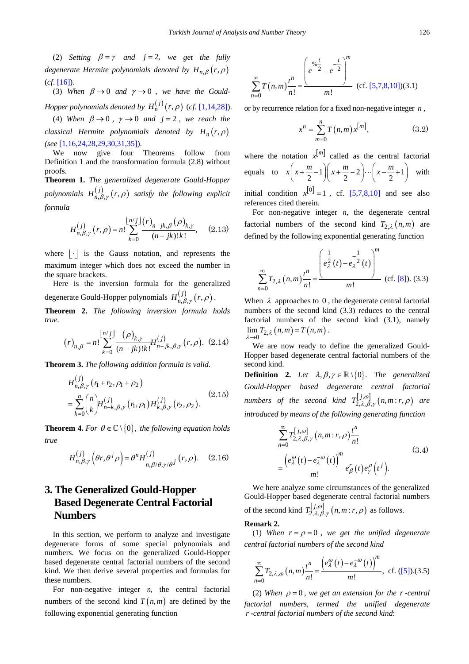(2) *Setting*  $\beta = \gamma$  *and*  $j = 2$ , *we get the fully degenerate Hermite polynomials denoted by*  $H_{n,\beta}(r,\rho)$ (*cf*. [\[16\]\)](#page-9-13).

(3) When  $\beta \rightarrow 0$  and  $\gamma \rightarrow 0$ , we have the Gould-*Hopper polynomials denoted by*  $H_n^{(j)}(r, \rho)$  (*cf.* [\[1,14,28\]\)](#page-9-0).

(4) *When*  $\beta \rightarrow 0$ ,  $\gamma \rightarrow 0$  *and*  $j = 2$ , *we reach the classical Hermite polynomials denoted by*  $H_n(r,\rho)$ *(see* [\[1,16,24,28,29,30,31,35\]\)](#page-9-0).

We now give four Theorems follow from Definition 1 and the transformation formula (2.8) without proofs.

**Theorem 1.** *The generalized degenerate Gould-Hopper polynomials*  $H_{n,\beta,\gamma}^{(j)}(r,\rho)$  *satisfy the following explicit formula*

$$
H_{n,\beta,\gamma}^{(j)}(r,\rho) = n! \sum_{k=0}^{\lfloor n/3 \rfloor} \frac{(r)_{n-jk,\beta}(\rho)_{k,\gamma}}{(n-jk)!k!}, \quad (2.13)
$$

where  $|\cdot|$  is the Gauss notation, and represents the maximum integer which does not exceed the number in the square brackets.

Here is the inversion formula for the generalized degenerate Gould-Hopper polynomials  $H_{n, \beta, \gamma}^{(j)}( r, \rho )$ .

**Theorem 2.** *The following inversion formula holds true.*

$$
(r)_{n,\beta} = n! \sum_{k=0}^{\lfloor n/j \rfloor} \frac{(\rho)_{k,\gamma}}{(n-jk)!k!} H_{n-jk,\beta,\gamma}^{(j)}(r,\rho). \tag{2.14}
$$

**Theorem 3.** *The following addition formula is valid.*

*j*

$$
H_{n,\beta,\gamma}^{(j)}(r_1+r_2,\rho_1+\rho_2)
$$
  
= 
$$
\sum_{k=0}^{n} {n \choose k} H_{n-k,\beta,\gamma}^{(j)}(r_1,\rho_1) H_{k,\beta,\gamma}^{(j)}(r_2,\rho_2).
$$
 (2.15)

**Theorem 4.** *For*  $\theta \in \mathbb{C} \setminus \{0\}$ , *the following equation holds true*

$$
H_{n,\beta,\gamma}^{(j)}\left(\theta r,\theta^{j}\rho\right) = \theta^{n}H_{n,\beta/\theta,\gamma/\theta^{j}}^{(j)}\left(r,\rho\right). \quad (2.16)
$$

# **3. The Generalized Gould-Hopper Based Degenerate Central Factorial Numbers**

In this section, we perform to analyze and investigate degenerate forms of some special polynomials and numbers. We focus on the generalized Gould-Hopper based degenerate central factorial numbers of the second kind. We then derive several properties and formulas for these numbers.

For non-negative integer  $n$ , the central factorial numbers of the second kind  $T(n,m)$  are defined by the following exponential generating function

$$
\sum_{n=0}^{\infty} T(n,m) \frac{t^n}{n!} = \frac{\left(e^{96} \frac{t}{2} - e^{-\frac{t}{2}}\right)^m}{m!} \quad \text{(cf. [5,7,8,10])(3.1)}
$$

or by recurrence relation for a fixed non-negative integer *n* ,

$$
x^{n} = \sum_{m=0}^{n} T(n, m) x^{[m]},
$$
 (3.2)

where the notation  $x^{[m]}$  called as the central factorial equals to  $x\left(x+\frac{m}{2}-1\right)\left(x+\frac{m}{2}-2\right)\cdots\left(x-\frac{m}{2}+1\right)$  $x\left(x+\frac{m}{2}-1\right)\left(x+\frac{m}{2}-2\right)\cdots\left(x-\frac{m}{2}+1\right)$  with initial condition  $x^{[0]} = 1$ , cf. [\[5,7,8,10\]](#page-9-2) and see also

references cited therein.

For non-negative integer  $n$ , the degenerate central factorial numbers of the second kind  $T_{2,\lambda}(n,m)$  are defined by the following exponential generating function

$$
\sum_{n=0}^{\infty} T_{2,\lambda}(n,m) \frac{t^n}{n!} = \frac{\left(e_{\lambda}^{\frac{1}{2}}(t) - e_{\lambda}^{-\frac{1}{2}}(t)\right)^m}{m!} \quad \text{(cf. [8]). (3.3)}
$$

When  $\lambda$  approaches to 0, the degenerate central factorial numbers of the second kind (3.3) reduces to the central factorial numbers of the second kind (3.1), namely  $\lim_{\lambda \to 0} T_{2,\lambda} (n,m) = T(n,m)$ .

We are now ready to define the generalized Gould-Hopper based degenerate central factorial numbers of the second kind.

**Definition 2.** *Let*  $\lambda, \beta, \gamma \in \mathbb{R} \setminus \{0\}$ *. The generalized Gould-Hopper based degenerate central factorial numbers of the second kind*  $T_{2,\lambda,\beta,\gamma}^{[j,\omega]}(n,m:r,\rho)$  are *introduced by means of the following generating function*

$$
\sum_{n=0}^{\infty} T_{2,\lambda,\beta,\gamma}^{[j,\omega]}(n,m;r,\rho) \frac{t^n}{n!}
$$
\n
$$
= \frac{\left(e^{\omega}_{\lambda}(t) - e^{-\omega}_{\lambda}(t)\right)^m}{m!} e^r_{\beta}(t) e^{\rho}_{\gamma}(t^j).
$$
\n(3.4)

We here analyze some circumstances of the generalized Gould-Hopper based degenerate central factorial numbers of the second kind  $T_{2,\lambda,\beta,\gamma}^{[j,\omega]}(n,m;r,\rho)$  as follows.

#### **Remark 2.**

(1) When  $r = \rho = 0$ , we get the unified degenerate *central factorial numbers of the second kind*

$$
\sum_{n=0}^{\infty} T_{2,\lambda,\omega}(n,m) \frac{t^n}{n!} = \frac{\left(e_{\lambda}^{\omega}(t) - e_{\lambda}^{-\omega}(t)\right)^m}{m!}, \text{ cf. ([5]).(3.5)}
$$

(2) When  $\rho = 0$ , we get an extension for the *r* -central *factorial numbers, termed the unified degenerate r -central factorial numbers of the second kind*: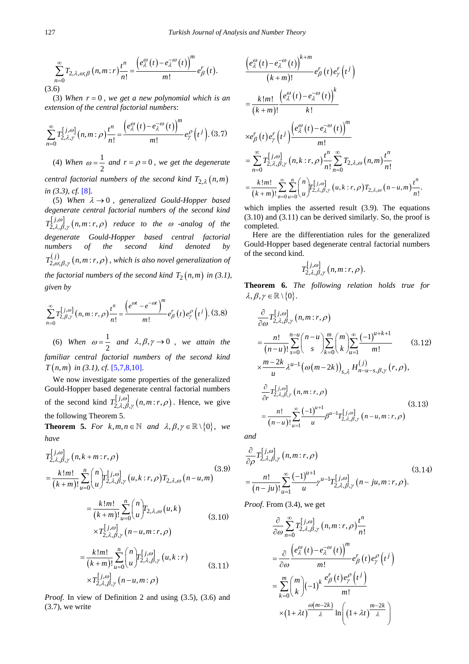$$
\sum_{n=0}^{\infty} T_{2,\lambda,\omega;\beta}(n,m:r) \frac{t^n}{n!} = \frac{\left(e_{\lambda}^{\omega}(t) - e_{\lambda}^{-\omega}(t)\right)^m}{m!} e_{\beta}^r(t).
$$
\n(3.6)

(3) *When r* = 0 *, we get a new polynomial which is an extension of the central factorial numbers*:

$$
\sum_{n=0}^{\infty} T_{2,\lambda,\gamma}^{[j,\omega]}(n,m:\rho)\frac{t^n}{n!} = \frac{\left(e_{\lambda}^{\omega}(t) - e_{\lambda}^{-\omega}(t)\right)^m}{m!}e_{\gamma}^{\rho}(t^j). (3.7)
$$

(4) When  $\omega = \frac{1}{2}$  and  $r = \rho = 0$ , we get the degenerate

*central factorial numbers of the second kind*  $T_{2,\lambda}(n,m)$ *in (3.3), cf.* [\[8\].](#page-9-6)

(5) *When* <sup>λ</sup> → 0 *, generalized Gould-Hopper based degenerate central factorial numbers of the second kind*   $T_{2,\lambda,\beta,\gamma}^{[j,\omega]}(n,m:r,\rho)$  reduce to the  $\omega$  -analog of the *degenerate Gould-Hopper based central factorial numbers of the second kind denoted by*   $T_{2,\omega,\beta,\gamma}^{(j)}(n,m;r,\rho)$ , which is also novel generalization of *the factorial numbers of the second kind*  $T_2(n,m)$  *in (3.1), given by*

$$
\sum_{n=0}^{\infty} T_{2,\beta,\gamma}^{[j,\omega]}(n,m:r,\rho) \frac{t^n}{n!} = \frac{\left(e^{\omega t} - e^{-\omega t}\right)^m}{m!} e_{\beta}^r(t) e_{\gamma}^{\rho}\left(t^j\right). (3.8)
$$

(6) When  $\omega = \frac{1}{2}$  and  $\lambda, \beta, \gamma \rightarrow 0$ , we attain the *familiar central factorial numbers of the second kind*   $T(n,m)$  *in (3.1), cf.* [\[5,7,8,10\].](#page-9-2)

We now investigate some properties of the generalized Gould-Hopper based degenerate central factorial numbers of the second kind  $T_{2,\lambda,\beta,\gamma}^{[j,\omega]}(n,m;r,\rho)$ . Hence, we give the following Theorem 5.

**Theorem 5.** *For k*,*m*,*n*  $\in$  *N and*  $\lambda$ ,  $\beta$ ,  $\gamma$   $\in$   $\mathbb{R}\setminus\{0\}$ , *we have*

$$
T_{2,\lambda,\beta,\gamma}^{[j,\omega]}(n,k+m;r,\rho)
$$
\n
$$
=\frac{k!m!}{(k+m)!}\sum_{u=0}^{n} {n \choose u} T_{2,\lambda,\beta,\gamma}^{[j,\omega]}(u,k:r,\rho) T_{2,\lambda,\omega}(n-u,m)
$$
\n
$$
=\frac{k!m!}{(k+m)!}\sum_{u=0}^{n} {n \choose u} T_{2,\lambda,\omega}(u,k)
$$
\n
$$
\times T_{2,\lambda,\beta,\gamma}^{[j,\omega]}(n-u,m;r,\rho)
$$
\n(3.10)

$$
= \frac{k \, !m!}{(k+m)!} \sum_{u=0}^{n} \binom{n}{u} T_{2,\lambda,\beta,\gamma}^{[j,\omega]}(u,k:r)
$$
  
× $T_{2,\lambda,\beta,\gamma}^{[j,\omega]}(n-u,m;\rho)$  (3.11)

*Proof.* In view of Definition 2 and using  $(3.5)$ ,  $(3.6)$  and  $(3.7)$ , we write

$$
\frac{\left(e_{\lambda}^{\omega}(t) - e_{\lambda}^{-\omega}(t)\right)^{k+m}}{(k+m)!} e_{\beta}^{r}(t) e_{\gamma}^{r}(t^{j})
$$
\n
$$
= \frac{k!m!}{(k+m)!} \frac{\left(e_{\lambda}^{\omega}(t) - e_{\lambda}^{-\omega}(t)\right)^{k}}{k!}
$$
\n
$$
\times e_{\beta}^{r}(t) e_{\gamma}^{r}(t^{j}) \frac{\left(e_{\lambda}^{\omega}(t) - e_{\lambda}^{-\omega}(t)\right)^{m}}{m!}
$$
\n
$$
= \sum_{n=0}^{\infty} T_{2,\lambda,\beta,\gamma}^{[j,\omega]}(n,k; r, \rho) \frac{t^{n}}{n!} \sum_{n=0}^{\infty} T_{2,\lambda,\omega}(n,m) \frac{t^{n}}{n!}
$$
\n
$$
= \frac{k!m!}{(k+m)!} \sum_{n=0}^{\infty} \sum_{u=0}^{n} {n \choose u} T_{2,\lambda,\beta,\gamma}^{[j,\omega]}(u,k; r, \rho) T_{2,\lambda,\omega}(n-u,m) \frac{t^{n}}{n!}.
$$

which implies the asserted result (3.9). The equations (3.10) and (3.11) can be derived similarly. So, the proof is completed.

Here are the differentiation rules for the generalized Gould-Hopper based degenerate central factorial numbers of the second kind.

$$
T_{2,\lambda,\beta,\gamma}^{[j,\omega]}(n,m:r,\rho).
$$

**Theorem 6.** *The following relation holds true for*  $\lambda, \beta, \gamma \in \mathbb{R} \setminus \{0\}.$ 

$$
\frac{\partial}{\partial \omega} T_{2,\lambda,\beta,\gamma}^{[j,\omega]}(n,m;r,\rho) \n= \frac{n!}{(n-u)!} \sum_{s=0}^{n-u} {n-u \choose s} \sum_{k=0}^{m} {m \choose k} \sum_{u=1}^{\infty} \frac{(-1)^{u+k+1}}{m!} \qquad (3.12) \n\times \frac{m-2k}{u} \lambda^{u-1} (\omega(m-2k))_{s,\lambda} H_{n-u-s,\beta,\gamma}^{(j)}(r,\rho), \n\frac{\partial}{\partial r} T_{2,\lambda,\beta,\gamma}^{[j,\omega]}(n,m;r,\rho) \n= \frac{n!}{(n-u)!} \sum_{u=1}^{\infty} \frac{(-1)^{u+1}}{u} \beta^{u-1} T_{2,\lambda,\beta,\gamma}^{[j,\omega]}(n-u,m;r,\rho)
$$
\n(3.13)

*and*

$$
\frac{\partial}{\partial \rho} T_{2,\lambda,\beta,\gamma}^{[j,\omega]}(n,m;r,\rho)
$$
\n
$$
=\frac{n!}{(n-ju)!} \sum_{u=1}^{\infty} \frac{(-1)^{u+1}}{u} \gamma^{u-1} T_{2,\lambda,\beta,\gamma}^{[j,\omega]}(n-ju,m;r,\rho).
$$
\n(3.14)

*Proof*. From (3.4), we get

$$
\frac{\partial}{\partial \omega} \sum_{n=0}^{\infty} T_{2,\lambda,\beta,\gamma}^{[j,\omega]}(n,m;r,\rho) \frac{t^n}{n!}
$$
\n
$$
= \frac{\partial}{\partial \omega} \frac{\left(e^{\omega}_{\lambda}(t) - e^{-\omega}_{\lambda}(t)\right)^m}{m!} e^r_{\beta}(t) e^{\rho}_{\gamma}(t^j)
$$
\n
$$
= \sum_{k=0}^m {m \choose k} (-1)^k \frac{e^r_{\beta}(t) e^{\rho}_{\gamma}(t^j)}{m!}
$$
\n
$$
\times (1 + \lambda t) \frac{\omega(m-2k)}{\lambda} \ln \left(1 + \lambda t \right)^{\frac{m-2k}{\lambda}}
$$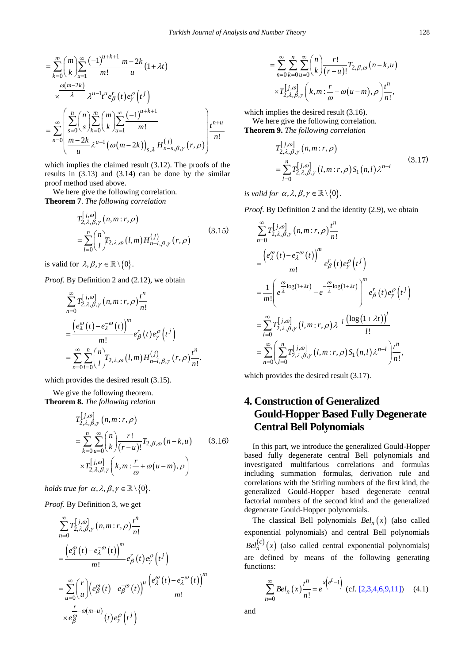$$
= \sum_{k=0}^{m} {m \choose k} \sum_{u=1}^{\infty} \frac{(-1)^{u+k+1}}{m!} \frac{m-2k}{u} (1 + \lambda t)
$$
  

$$
\times \frac{\omega(m-2k)}{\lambda} \lambda^{u-1} t^{u} e_{\beta}^{r} (t) e_{\gamma}^{\rho} (t^{j})
$$
  

$$
= \sum_{n=0}^{\infty} \left( \sum_{s=0}^{n} {n \choose s} \sum_{k=0}^{m} {m \choose k} \sum_{u=1}^{\infty} \frac{(-1)^{u+k+1}}{m!} \right) t^{n+u}
$$
  

$$
\frac{m-2k}{u} \lambda^{u-1} (\omega(m-2k))_{s,\lambda} H_{n-s,\beta,\gamma}^{(j)} (r,\rho) \right)^{n+u}
$$

which implies the claimed result (3.12). The proofs of the results in (3.13) and (3.14) can be done by the similar proof method used above.

We here give the following correlation. **Theorem 7**. *The following correlation*

$$
T_{2,\lambda,\beta,\gamma}^{[j,\omega]}(n,m;r,\rho)
$$
  
=
$$
\sum_{l=0}^{n} {n \choose l} T_{2,\lambda,\omega}(l,m) H_{n-l,\beta,\gamma}^{(j)}(r,\rho)
$$
(3.15)

is valid for  $\lambda, \beta, \gamma \in \mathbb{R} \setminus \{0\}$ .

*Proof.* By Definition 2 and (2.12), we obtain

$$
\sum_{n=0}^{\infty} T_{2,\lambda,\beta,\gamma}^{[j,\omega]}(n,m;r,\rho) \frac{t^n}{n!}
$$
  
= 
$$
\frac{\left(e_{\lambda}^{\omega}(t) - e_{\lambda}^{-\omega}(t)\right)^m}{m!} e_{\beta}^r(t) e_{\gamma}^{\rho}(t^{j})
$$
  
= 
$$
\sum_{n=0}^{\infty} \sum_{l=0}^n {n \choose l} T_{2,\lambda,\omega}(l,m) H_{n-l,\beta,\gamma}^{(j)}(r,\rho) \frac{t^n}{n!}.
$$

which provides the desired result (3.15).

We give the following theorem. **Theorem 8.** *The following relation*

$$
T_{2,\lambda,\beta,\gamma}^{[j,\omega]}(n,m;r,\rho)
$$
  
= 
$$
\sum_{k=0}^{n} \sum_{u=0}^{\infty} {n \choose k} \frac{r!}{(r-u)!} T_{2,\beta,\omega}(n-k,u)
$$
 (3.16)  

$$
\times T_{2,\lambda,\beta,\gamma}^{[j,\omega]}(k,m; \frac{r}{\omega} + \omega(u-m),\rho)
$$

*holds true for*  $\alpha$ ,  $\lambda$ ,  $\beta$ ,  $\gamma \in \mathbb{R} \setminus \{0\}$ .

*Proof.* By Definition 3, we get

$$
\sum_{n=0}^{\infty} T_{2,\lambda,\beta,\gamma}^{[j,\omega]}(n,m:r,\rho)\frac{t^n}{n!} \n= \frac{\left(e_{\lambda}^{\omega}(t) - e_{\lambda}^{-\omega}(t)\right)^m}{m!}e_{\beta}^r(t)e_{\gamma}^{\rho}(t^j) \n= \sum_{u=0}^{\infty} {r \choose u} \left(e_{\beta}^{\omega}(t) - e_{\beta}^{-\omega}(t)\right)^u \frac{\left(e_{\lambda}^{\omega}(t) - e_{\lambda}^{-\omega}(t)\right)^m}{m!} \n\quad \times e_{\beta}^{-\omega(m-u)}(t)e_{\gamma}^{\rho}(t^j)
$$

$$
= \sum_{n=0}^{\infty} \sum_{k=0}^{n} \sum_{u=0}^{\infty} {n \choose k} \frac{r!}{(r-u)!} T_{2,\beta,\omega} (n-k,u)
$$

$$
\times T_{2,\lambda,\beta,\gamma}^{[j,\omega]} \left(k,m: \frac{r}{\omega} + \omega(u-m), \rho \right) \frac{t^n}{n!},
$$

which implies the desired result (3.16). We here give the following correlation. **Theorem 9.** *The following correlation*

$$
T_{2,\lambda,\beta,\gamma}^{[j,\omega]}(n,m;r,\rho) = \sum_{l=0}^{n} T_{2,\lambda,\beta,\gamma}^{[j,\omega]}(l,m;r,\rho) S_1(n,l) \lambda^{n-l}
$$
\n(3.17)

*is valid for*  $\alpha$ ,  $\lambda$ ,  $\beta$ ,  $\gamma \in \mathbb{R} \setminus \{0\}$ .

*Proof*. By Definition 2 and the identity (2.9), we obtain

$$
\sum_{n=0}^{\infty} T_{2,\lambda,\beta,\gamma}^{[j,\omega]}(n,m;r,\rho) \frac{t^n}{n!}
$$
\n
$$
= \frac{\left(e_{\lambda}^{\omega}(t) - e_{\lambda}^{-\omega}(t)\right)^m}{m!} e_{\beta}^r(t) e_{\gamma}^{\rho}(t^j)
$$
\n
$$
= \frac{1}{m!} \left(e^{\frac{\omega}{\lambda} \log(1+\lambda t)} - e^{-\frac{\omega}{\lambda} \log(1+\lambda t)}\right)^m e_{\beta}^r(t) e_{\gamma}^{\rho}(t^j)
$$
\n
$$
= \sum_{l=0}^{\infty} T_{2,\lambda,\beta,\gamma}^{[j,\omega]}(l,m;r,\rho) \lambda^{-l} \frac{\left(\log(1+\lambda t)\right)^l}{l!}
$$
\n
$$
= \sum_{n=0}^{\infty} \left(\sum_{l=0}^n T_{2,\lambda,\beta,\gamma}^{[j,\omega]}(l,m;r,\rho) S_1(n,l) \lambda^{n-l}\right) \frac{t^n}{n!},
$$

which provides the desired result (3.17).

# **4. Construction of Generalized Gould-Hopper Based Fully Degenerate Central Bell Polynomials**

In this part, we introduce the generalized Gould-Hopper based fully degenerate central Bell polynomials and investigated multifarious correlations and formulas including summation formulas, derivation rule and correlations with the Stirling numbers of the first kind, the generalized Gould-Hopper based degenerate central factorial numbers of the second kind and the generalized degenerate Gould-Hopper polynomials.

The classical Bell polynomials  $Bel_n(x)$  (also called exponential polynomials) and central Bell polynomials  $Bel<sub>n</sub><sup>(c)</sup>(x)$  (also called central exponential polynomials) are defined by means of the following generating functions:

$$
\sum_{n=0}^{\infty} Bel_n(x) \frac{t^n}{n!} = e^{x \left(e^t - 1\right)} \text{ (cf. [2,3,4,6,9,11])} \quad (4.1)
$$

and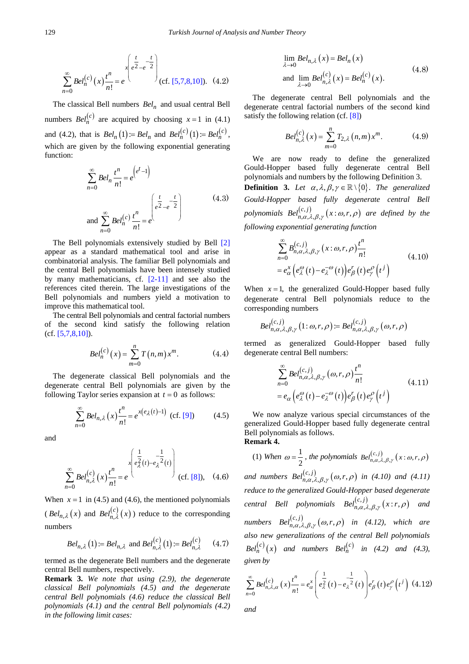$$
\sum_{n=0}^{\infty} Bel_n^{(c)}(x) \frac{t^n}{n!} = e^{-\frac{t}{2} \left( \frac{t}{e^2 - e^{-2}} \right)}
$$
 (cf. [5,7,8,10]). (4.2)

The classical Bell numbers *Beln* and usual central Bell numbers  $Bel_n^{(c)}$  are acquired by choosing  $x = 1$  in (4.1) and (4.2), that is  $Bel_n(1) = Bel_n$  and  $Bel_n^{(c)}(1) = Bel_n^{(c)}$ , which are given by the following exponential generating function:

$$
\sum_{n=0}^{\infty} Bel_n \frac{t^n}{n!} = e^{\left(e^t - 1\right)}
$$
\nand\n
$$
\sum_{n=0}^{\infty} Bel_n^{(c)} \frac{t^n}{n!} = e^{\left(\frac{t}{e^2 - e^{-2}}\right)}
$$
\n(4.3)

The Bell polynomials extensively studied by Bell [\[2\]](#page-9-1) appear as a standard mathematical tool and arise in combinatorial analysis. The familiar Bell polynomials and the central Bell polynomials have been intensely studied by many mathematicians, cf. [\[2-11\]](#page-9-1) and see also the references cited therein. The large investigations of the Bell polynomials and numbers yield a motivation to improve this mathematical tool.

The central Bell polynomials and central factorial numbers of the second kind satisfy the following relation  $(cf. [5,7,8,10]).$  $(cf. [5,7,8,10]).$  $(cf. [5,7,8,10]).$ 

$$
Bel_n^{(c)}(x) = \sum_{m=0}^{n} T(n,m) x^m.
$$
 (4.4)

The degenerate classical Bell polynomials and the degenerate central Bell polynomials are given by the following Taylor series expansion at  $t = 0$  as follows:

$$
\sum_{n=0}^{\infty} Bel_{n,\lambda}(x)\frac{t^n}{n!} = e^{x(e_{\lambda}(t)-1)} \text{ (cf. [9])} \tag{4.5}
$$

and

$$
\sum_{n=0}^{\infty} Bel_{n,\lambda}^{(c)}(x)\frac{t^n}{n!} = e^{\int_{0}^{1} e_{\lambda}^{\frac{1}{2}}(t) - e_{\lambda}^{-\frac{1}{2}}(t)}\Bigg) \quad \text{(cf. [8]),} \quad (4.6)
$$

When  $x = 1$  in (4.5) and (4.6), the mentioned polynomials  $(Bel_{n,\lambda}(x)$  and  $Bel_{n,\lambda}^{(c)}(x)$  reduce to the corresponding numbers

$$
Bel_{n,\lambda}(1) := Bel_{n,\lambda} \text{ and } Bel_{n,\lambda}^{(c)}(1) := Bel_{n,\lambda}^{(c)} \qquad (4.7)
$$

termed as the degenerate Bell numbers and the degenerate central Bell numbers, respectively.

**Remark 3.** *We note that using (2.9), the degenerate classical Bell polynomials (4.5) and the degenerate central Bell polynomials (4.6) reduce the classical Bell polynomials (4.1) and the central Bell polynomials (4.2) in the following limit cases:*

$$
\lim_{\lambda \to 0} Bel_{n,\lambda}(x) = Bel_n(x)
$$
\nand 
$$
\lim_{\lambda \to 0} Bel_{n,\lambda}^{(c)}(x) = Bel_n^{(c)}(x).
$$
\n(4.8)

The degenerate central Bell polynomials and the degenerate central factorial numbers of the second kind satisfy the following relation (cf. [\[8\]\)](#page-9-6)

$$
Bel_{n,\lambda}^{(c)}(x) = \sum_{m=0}^{n} T_{2,\lambda}(n,m) x^{m}.
$$
 (4.9)

We are now ready to define the generalized Gould-Hopper based fully degenerate central Bell polynomials and numbers by the following Definition 3.

**Definition 3.** Let  $\alpha, \lambda, \beta, \gamma \in \mathbb{R} \setminus \{0\}$ . The generalized *Gould-Hopper based fully degenerate central Bell polynomials*  $Bel_{n,\alpha,\lambda,\beta,\gamma}^{(c,j)}(x:\omega,r,\rho)$  *are defined by the following exponential generating function*

$$
\sum_{n=0}^{\infty} B_{n,\alpha,\lambda,\beta,\gamma}^{(c,j)}(x:\omega,r,\rho) \frac{t^n}{n!}
$$
\n
$$
= e_{\alpha}^x \left( e_{\lambda}^{\omega}(t) - e_{\lambda}^{-\omega}(t) \right) e_{\beta}^r(t) e_{\gamma}^{\rho}(t^j)
$$
\n(4.10)

When  $x = 1$ , the generalized Gould-Hopper based fully degenerate central Bell polynomials reduce to the corresponding numbers

$$
Bel_{n,\alpha,\lambda,\beta,\gamma}^{(c,j)}(1:\omega,r,\rho) := Bel_{n,\alpha,\lambda,\beta,\gamma}^{(c,j)}(\omega,r,\rho)
$$

termed as generalized Gould-Hopper based fully degenerate central Bell numbers:

$$
\sum_{n=0}^{\infty} Bel_{n,\alpha,\lambda,\beta,\gamma}^{(c,j)}(\omega,r,\rho)\frac{t^n}{n!}
$$
\n
$$
= e_{\alpha} \left(e_{\lambda}^{\omega}(t) - e_{\lambda}^{-\omega}(t)\right) e_{\beta}^r(t) e_{\gamma}^{\rho}(t^j)
$$
\n(4.11)

We now analyze various special circumstances of the generalized Gould-Hopper based fully degenerate central Bell polynomials as follows. **Remark 4.**

(1) When 
$$
\omega = \frac{1}{2}
$$
, the polynomials  $Bel_{n,\alpha,\lambda,\beta,\gamma}^{(c,j)}(x:\omega,r,\rho)$ 

and *numbers*  $Bel_{n,\alpha,\lambda,\beta,\gamma}^{(c,j)}(\omega,r,\rho)$  in (4.10) and (4.11) *reduce to the generalized Gould-Hopper based degenerate central Bell polynomials*  $Bel_{n,\alpha,\lambda,\beta,\gamma}^{(c,j)}(x; r, \rho)$  *and numbers*  $Bel_{n,\alpha,\lambda,\beta,\gamma}^{(c,j)}(\omega,r,\rho)$  *in* (4.12), which are *also new generalizations of the central Bell polynomials*   $Bel_n^{(c)}(x)$  *and numbers*  $Bel_n^{(c)}$  *in* (4.2) *and* (4.3), *given by*

$$
\sum_{n=0}^{\infty} Bel_{n,\lambda,\alpha}^{(c)}(x)\frac{t^n}{n!} = e_{\alpha}^x \left(e_{\lambda}^{\frac{1}{2}}(t) - e_{\lambda}^{-\frac{1}{2}}(t)\right) e_{\beta}^r(t) e_{\gamma}^{\rho}(t^j)
$$
(4.12)

*and*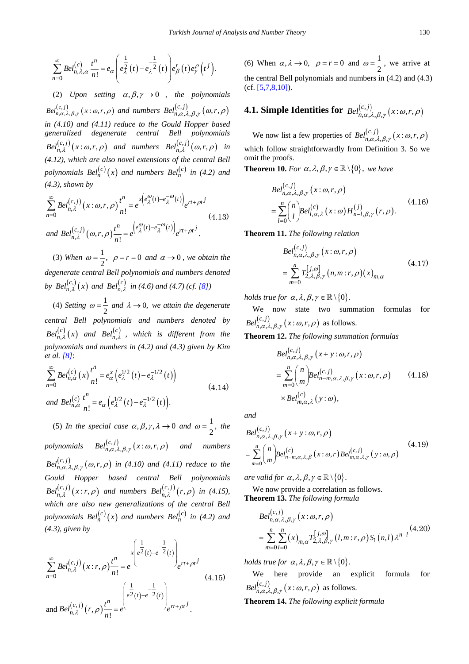$$
\sum_{n=0}^{\infty} Bel_{n,\lambda,\alpha}^{(c)} \frac{t^n}{n!} = e_{\alpha} \left( e_{\lambda}^{\frac{1}{2}}(t) - e_{\lambda}^{-\frac{1}{2}}(t) \right) e_{\beta}^r(t) e_{\gamma}^{\rho} (t^j).
$$

(2) *Upon setting*  $\alpha, \beta, \gamma \rightarrow 0$  *, the polynomials*  $Bel_{n,\alpha,\lambda,\beta,\gamma}^{(c,j)}(x:\omega,r,\rho)$  and numbers  $Bel_{n,\alpha,\lambda,\beta,\gamma}^{(c,j)}(\omega,r,\rho)$ *in (4.10) and (4.11) reduce to the Gould Hopper based generalized degenerate central Bell polynomials*   $Bel_{n,\lambda}^{(c,j)}(x:\omega,r,\rho)$  and numbers  $Bel_{n,\lambda}^{(c,j)}(\omega,r,\rho)$  in *(4.12), which are also novel extensions of the central Bell polynomials*  $Bel_n^{(c)}(x)$  *and numbers*  $Bel_n^{(c)}$  *in* (4.2) *and (4.3), shown by*

$$
\sum_{n=0}^{\infty} Bel_{n,\lambda}^{(c,j)}(x:\omega,r,\rho) \frac{t^n}{n!} = e^{x \left(e_{\lambda}^{\omega}(t) - e_{\lambda}^{-\omega}(t)\right)} e^{rt + \rho t^j}
$$
\n
$$
(4.13)
$$
\n
$$
\text{and } Bel_{n,\lambda}^{(c,j)}(\omega,r,\rho) \frac{t^n}{n!} = e^{\left(e_{\lambda}^{\omega}(t) - e_{\lambda}^{-\omega}(t)\right)} e^{rt + \rho t^j}.
$$

(3) When  $\omega = \frac{1}{2}$ ,  $\rho = r = 0$  and  $\alpha \rightarrow 0$ , we obtain the *degenerate central Bell polynomials and numbers denoted*  by  $Bel_{n,\lambda}^{(c,)}(x)$  $Bel_{n,\lambda}^{(c_{\star})} (x)$  and  $Bel_{n,\lambda}^{(c)}$  $Bel_{n,\lambda}^{(c)}$  *in (4.6) and (4.7) (cf.* [\[8\]\)](#page-9-6)

(4) *Setting*  $\omega = \frac{1}{2}$  *and*  $\lambda \rightarrow 0$ *, we attain the degenerate central Bell polynomials and numbers denoted by*   $Bel_{n,\lambda}^{(c)}(x)$  and  $Bel_{n,\lambda}^{(c)}$  $Bel_{n,\lambda}^{(c)}$  , which is different from the *polynomials and numbers in (4.2) and (4.3) given by Kim et al. [\[8\]](#page-9-6)*:

$$
\sum_{n=0}^{\infty} Bel_{n,\alpha}^{(c)}(x) \frac{t^n}{n!} = e_{\alpha}^x \left( e_{\lambda}^{1/2}(t) - e_{\lambda}^{-1/2}(t) \right)
$$
\n
$$
\text{and } Bel_{n,\alpha}^{(c)} \frac{t^n}{n!} = e_{\alpha} \left( e_{\lambda}^{1/2}(t) - e_{\lambda}^{-1/2}(t) \right). \tag{4.14}
$$

(5) *In the special case*  $\alpha, \beta, \gamma, \lambda \rightarrow 0$  *and*  $\omega = \frac{1}{2}$ ,  $\omega = \frac{1}{2}$ , the  $polynomials \t Bel<sub>n,\alpha,\lambda,\beta,\gamma}^{(c,j)}(x:\omega,r,\rho)</sub>$  and numbers  $Bel_{n,\alpha,\lambda,\beta,\gamma}^{(c,j)}(\omega,r,\rho)$  in (4.10) and (4.11) reduce to the *Gould Hopper based central Bell polynomials*   $Bel_{n,\lambda}^{(c,j)}(x; r, \rho)$  and numbers  $Bel_{n,\lambda}^{(c,j)}(r, \rho)$  in (4.15), *which are also new generalizations of the central Bell polynomials*  $Bel_n^{(c)}(x)$  *and numbers*  $Bel_n^{(c)}$  *in (4.2) and (4.3), given by*

$$
\sum_{n=0}^{\infty} Bel_{n,\lambda}^{(c,j)}(x;r,\rho) \frac{t^n}{n!} = e^{-x \left(e^{\frac{1}{2}}(t) - e^{-\frac{1}{2}}(t)\right)} e^{rt + \rho t^j}
$$
\n
$$
(4.15)
$$
\n
$$
and Bel_{n,\lambda}^{(c,j)}(r,\rho) \frac{t^n}{n!} = e^{-x \left(e^{\frac{1}{2}}(t) - e^{-\frac{1}{2}}(t)\right)} e^{rt + \rho t^j}.
$$

(6) When  $\alpha, \lambda \to 0$ ,  $\rho = r = 0$  and  $\omega = \frac{1}{2}$ , we arrive at the central Bell polynomials and numbers in (4.2) and (4.3) (cf. [\[5,7,8,10\]\)](#page-9-2).

# **4.1. Simple Identities for**  $\mathit{Bel}_{n,\alpha,\lambda,\beta,\gamma}^{(c,j)}(x;\omega,r,\rho)$

We now list a few properties of  $Bel_{n,\alpha,\lambda,\beta,\gamma}^{(c,j)}(x:\omega,r,\rho)$ which follow straightforwardly from Definition 3. So we omit the proofs.

**Theorem 10.** *For*  $\alpha$ ,  $\lambda$ ,  $\beta$ ,  $\gamma \in \mathbb{R} \setminus \{0\}$ , we have

$$
Bel_{n,\alpha,\lambda,\beta,\gamma}^{(c,j)}(x:\omega,r,\rho)
$$
  
= 
$$
\sum_{l=0}^{n} {n \choose l} Bel_{l,\alpha,\lambda}^{(c)}(x:\omega) H_{n-l,\beta,\gamma}^{(j)}(r,\rho).
$$
 (4.16)

**Theorem 11.** *The following relation*

$$
Bel_{n,\alpha,\lambda,\beta,\gamma}^{(c,j)}(x:\omega,r,\rho)
$$
  
= 
$$
\sum_{m=0}^{n} T_{2,\lambda,\beta,\gamma}^{[j,\omega]}(n,m;r,\rho)(x)_{m,\alpha}
$$
 (4.17)

*holds true for*  $\alpha$ ,  $\lambda$ ,  $\beta$ ,  $\gamma \in \mathbb{R} \setminus \{0\}$ .

We now state two summation formulas for  $Bel_{n,\alpha,\lambda,\beta,\gamma}^{(c,j)}(x:\omega,r,\rho)$  as follows.

**Theorem 12.** *The following summation formulas*

$$
Bel_{n,\alpha,\lambda,\beta,\gamma}^{(c,j)}(x+y:\omega,r,\rho)
$$
  
= 
$$
\sum_{m=0}^{n} {n \choose m} Bel_{n-m,\alpha,\lambda,\beta,\gamma}^{(c,j)}(x:\omega,r,\rho)
$$
 (4.18)  

$$
\times Bel_{m,\alpha,\lambda}^{(c)}(y:\omega),
$$

*and*

$$
Bel_{n,\alpha,\lambda,\beta,\gamma}^{(c,j)}(x+y:\omega,r,\rho)
$$
  
= 
$$
\sum_{m=0}^{n} {n \choose m} Bel_{n-m,\alpha,\lambda,\beta}^{(c)}(x:\omega,r) Bel_{m,\alpha,\lambda,\gamma}^{(c,j)}(y:\omega,\rho)
$$
 (4.19)

*are valid for*  $\alpha$ ,  $\lambda$ ,  $\beta$ ,  $\gamma \in \mathbb{R} \setminus \{0\}$ .

We now provide a correlation as follows. **Theorem 13.** *The following formula*

$$
Bel_{n,\alpha,\lambda,\beta,\gamma}^{(c,j)}(x:\omega,r,\rho)
$$
  
= 
$$
\sum_{m=0}^{n} \sum_{l=0}^{n} (x)_{m,\alpha} T_{2,\lambda,\beta,\gamma}^{[j,\omega]}(l,m;r,\rho) S_1(n,l) \lambda^{n-l}
$$
<sup>(4.20)</sup>

*holds true for*  $\alpha$ ,  $\lambda$ ,  $\beta$ ,  $\gamma \in \mathbb{R} \setminus \{0\}$ .

We here provide an explicit formula for  $Bel_{n,\alpha,\lambda,\beta,\gamma}^{(c,j)}\bigl(x\!:\!\omega,r,\rho\bigr)$  as follows.

**Theorem 14.** *The following explicit formula*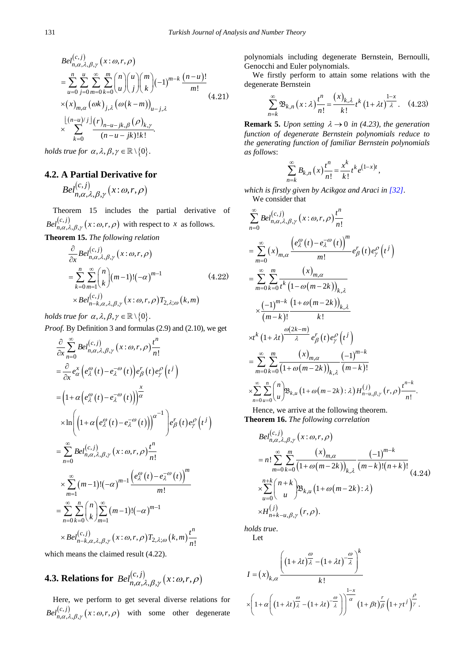$$
Bel_{n,\alpha,\lambda,\beta,\gamma}^{(c,j)}(x:\omega,r,\rho)
$$
\n
$$
= \sum_{u=0}^{n} \sum_{j=0}^{u} \sum_{m=0}^{\infty} \sum_{k=0}^{m} {n \choose u} {u \choose j} {m \choose k} (-1)^{m-k} \frac{(n-u)!}{m!}
$$
\n
$$
\times (x)_{m,\alpha} (\omega k)_{j,\lambda} (\omega (k-m))_{u-j,\lambda}
$$
\n
$$
\times \sum_{k=0}^{\lfloor (n-u)/j \rfloor} \frac{(r)_{n-u-jk,\beta} (\rho)_{k,\gamma}}{(n-u-jk)!k!}.
$$
\n
$$
1 \leq i \leq n, \quad n \geq 0, \quad m > 0.
$$

*holds true for*  $\alpha$ ,  $\lambda$ ,  $\beta$ ,  $\gamma \in \mathbb{R} \setminus \{0\}$ .

### **4.2. A Partial Derivative for**

$$
Bel_{n,\alpha,\lambda,\beta,\gamma}^{(c,j)}\bigl(x\!:\!\omega,r,\rho\bigr)
$$

Theorem 15 includes the partial derivative of  $Bel_{n,\alpha,\lambda,\beta,\gamma}^{(c,j)}(x:\omega,r,\rho)$  with respect to *x* as follows.

**Theorem 15.** *The following relation*

$$
\frac{\partial}{\partial x} Bel_{n,\alpha,\lambda,\beta,\gamma}^{(c,j)}(x:\omega,r,\rho)
$$
\n
$$
= \sum_{k=0}^{n} \sum_{m=1}^{\infty} {n \choose k} (m-1)! (-\alpha)^{m-1}
$$
\n
$$
\times Bel_{n-k,\alpha,\lambda,\beta,\gamma}^{(c,j)}(x:\omega,r,\rho) T_{2,\lambda;\omega}(k,m)
$$
\n(4.22)

*holds true for*  $\alpha$ ,  $\lambda$ ,  $\beta$ ,  $\gamma \in \mathbb{R} \setminus \{0\}$ .

*Proof.* By Definition 3 and formulas (2.9) and (2.10), we get

$$
\frac{\partial}{\partial x} \sum_{n=0}^{\infty} Bel_{n,\alpha,\lambda,\beta,\gamma}^{(c,j)}(x:\omega,r,\rho) \frac{t^n}{n!}
$$
\n
$$
= \frac{\partial}{\partial x} e_{\alpha}^{x} (e_{\lambda}^{\omega}(t) - e_{\lambda}^{-\omega}(t)) e_{\beta}^{r}(t) e_{\gamma}^{\omega}(t^{j})
$$
\n
$$
= (1 + \alpha (e_{\lambda}^{\omega}(t) - e_{\lambda}^{-\omega}(t)))^{\frac{x}{\alpha}}
$$
\n
$$
\times \ln \left( (1 + \alpha (e_{\lambda}^{\omega}(t) - e_{\lambda}^{-\omega}(t)))^{\alpha^{-1}} \right) e_{\beta}^{r}(t) e_{\gamma}^{\omega}(t^{j})
$$
\n
$$
= \sum_{n=0}^{\infty} Bel_{n,\alpha,\lambda,\beta,\gamma}^{(c,j)}(x:\omega,r,\rho) \frac{t^n}{n!}
$$
\n
$$
\times \sum_{m=1}^{\infty} (m-1)! (-\alpha)^{m-1} \frac{(e_{\lambda}^{\omega}(t) - e_{\lambda}^{-\omega}(t))^{m}}{m!}
$$
\n
$$
= \sum_{n=0}^{\infty} \sum_{k=0}^{n} {n \choose k} \sum_{m=1}^{\infty} (m-1)! (-\alpha)^{m-1}
$$
\n
$$
\times Bel_{n-k,\alpha,\lambda,\beta,\gamma}^{(c,j)}(x:\omega,r,\rho) T_{2,\lambda;\omega}(k,m) \frac{t^n}{n!}
$$

which means the claimed result (4.22).

**4.3. Relations for** 
$$
Bel_{n,\alpha,\lambda,\beta,\gamma}^{(c,j)}(x:\omega,r,\rho)
$$

Here, we perform to get several diverse relations for  $Bel_{n,\alpha,\lambda,\beta,\gamma}^{(c,j)}(x;\omega,r,\rho)$  with some other degenerate polynomials including degenerate Bernstein, Bernoulli, Genocchi and Euler polynomials.

We firstly perform to attain some relations with the degenerate Bernstein

$$
\sum_{n=k}^{\infty} \mathfrak{B}_{k,n}(x;\lambda)\frac{t^n}{n!} = \frac{(x)_{k,\lambda}}{k!}t^k\left(1+\lambda t\right)\frac{1-x}{\lambda}.\quad(4.23)
$$

**Remark 5.** *Upon setting*  $\lambda \rightarrow 0$  *in (4.23), the generation function of degenerate Bernstein polynomials reduce to the generating function of familiar Bernstein polynomials as follows*:

$$
\sum_{n=k}^{\infty} B_{k,n}(x) \frac{t^n}{n!} = \frac{x^k}{k!} t^k e^{(1-x)t},
$$

*which is firstly given by Acikgoz and Araci in [\[32\]](#page-10-0)*. We consider that

$$
\sum_{n=0}^{\infty} Bel_{n,\alpha,\lambda,\beta,\gamma}^{(c,j)}(x:\omega,r,\rho) \frac{t^n}{n!}
$$
\n
$$
= \sum_{m=0}^{\infty} (x)_{m,\alpha} \frac{\left(e_{\lambda}^{\omega}(t) - e_{\lambda}^{-\omega}(t)\right)^m}{m!} e_{\beta}^r(t) e_{\gamma}^{\rho}(t^j)
$$
\n
$$
= \sum_{m=0}^{\infty} \sum_{k=0}^m \frac{(x)_{m,\alpha}}{t^k (1-\omega(m-2k))_{k,\lambda}}
$$
\n
$$
\times \frac{(-1)^{m-k} (1+\omega(m-2k))_{k,\lambda}}{(m-k)!} \frac{(x)_{m,\alpha}}{k!}
$$
\n
$$
\times t^k (1+\lambda t)^{\frac{\omega(2k-m)}{\lambda}} e_{\beta}^r(t) e_{\gamma}^{\rho}(t^j)
$$
\n
$$
= \sum_{m=0}^{\infty} \sum_{k=0}^m \frac{(x)_{m,\alpha}}{(1+\omega(m-2k))_{k,\lambda}} \frac{(-1)^{m-k}}{(m-k)!}
$$
\n
$$
\times \sum_{n=0}^{\infty} \sum_{u=0}^n {n \choose u} B_{k,u} (1+\omega(m-2k): \lambda) H_{n-u,\beta,\gamma}^{(j)}(r,\rho) \frac{t^{n-k}}{n!}.
$$

Hence, we arrive at the following theorem. **Theorem 16.** *The following correlation*

$$
Bel_{n,\alpha,\lambda,\beta,\gamma}^{(c,j)}(x:\omega,r,\rho)
$$
  
=  $n! \sum_{m=0}^{\infty} \sum_{k=0}^{m} \frac{(x)_{m,\alpha}}{(1+\omega(m-2k))_{k,\lambda}} \frac{(-1)^{m-k}}{(m-k)!(n+k)!}$   

$$
\times \sum_{u=0}^{n+k} {n+k \choose u} \mathfrak{B}_{k,u} (1+\omega(m-2k):\lambda)
$$
  

$$
\times H_{n+k-u,\beta,\gamma}^{(j)}(r,\rho).
$$

*holds true*. Let

$$
I = (x)_{k,\alpha} \frac{\left( (1 + \lambda t)^{\frac{\omega}{\lambda}} - (1 + \lambda t)^{-\frac{\omega}{\lambda}} \right)^{k}}{k!}
$$

$$
\times \left( 1 + \alpha \left( (1 + \lambda t)^{\frac{\omega}{\lambda}} - (1 + \lambda t)^{-\frac{\omega}{\lambda}} \right) \right)^{\frac{1-x}{\alpha}} (1 + \beta t)^{\frac{r}{\beta}} \left( 1 + \gamma t^{j} \right)^{\frac{\rho}{\gamma}}.
$$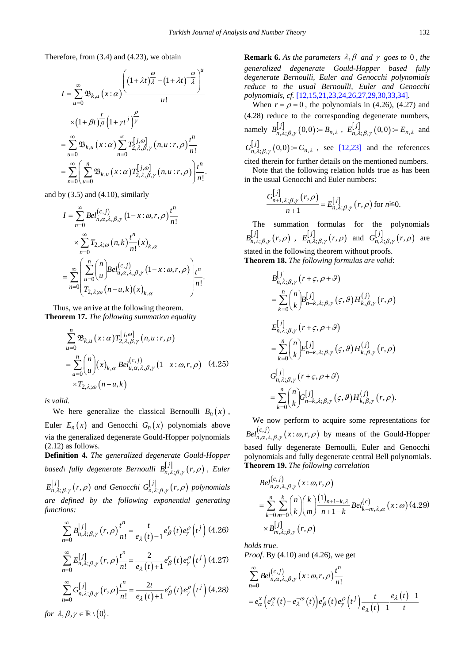Therefore, from (3.4) and (4.23), we obtain

$$
I = \sum_{u=0}^{\infty} \mathfrak{B}_{k,u}(x;\alpha) \frac{\left( (1+\lambda t)^{\frac{\omega}{\lambda}} - (1+\lambda t)^{-\frac{\omega}{\lambda}} \right)^{u}}{u!}
$$
  
\n
$$
\times (1+\beta t)^{\frac{r}{\beta}} \left( 1 + \gamma t^{j} \right)^{\frac{\rho}{\gamma}}
$$
  
\n
$$
= \sum_{u=0}^{\infty} \mathfrak{B}_{k,u}(x;\alpha) \sum_{n=0}^{\infty} T_{2,\lambda,\beta,\gamma}^{[j,\omega]}(n,u; r,\rho) \frac{t^{n}}{n!}
$$
  
\n
$$
= \sum_{n=0}^{\infty} \left( \sum_{u=0}^{n} \mathfrak{B}_{k,u}(x;\alpha) T_{2,\lambda,\beta,\gamma}^{[j,\omega]}(n,u; r,\rho) \right) \frac{t^{n}}{n!}.
$$

and by  $(3.5)$  and  $(4.10)$ , similarly

$$
I = \sum_{n=0}^{\infty} Bel_{n,\alpha,\lambda,\beta,\gamma}^{(c,j)} (1-x:\omega,r,\rho) \frac{t^n}{n!}
$$
  
\n
$$
\times \sum_{n=0}^{\infty} T_{2,\lambda;\omega}(n,k) \frac{t^n}{n!} (x)_{k,\alpha}
$$
  
\n
$$
= \sum_{n=0}^{\infty} \left( \sum_{u=0}^{n} {n \choose u} Bel_{u,\alpha,\lambda,\beta,\gamma}^{(c,j)} (1-x:\omega,r,\rho) \right) \frac{t^n}{n!}
$$
  
\n
$$
T_{2,\lambda;\omega}(n-u,k) (x)_{k,\alpha}
$$

Thus, we arrive at the following theorem. **Theorem 17.** *The following summation equality*

$$
\sum_{u=0}^{n} \mathfrak{B}_{k,u}(x;\alpha) T_{2,\lambda,\beta,\gamma}^{[j,\omega]}(n,u; r,\rho)
$$
  
= 
$$
\sum_{u=0}^{n} {n \choose u} (x)_{k,\alpha} \text{Bel}_{u,\alpha,\lambda,\beta,\gamma}^{(c,j)} (1-x:\omega,r,\rho) \quad (4.25)
$$
  

$$
\times T_{2,\lambda;\omega}(n-u,k)
$$

*is valid*.

We here generalize the classical Bernoulli  $B_n(x)$ , Euler  $E_n(x)$  and Genocchi  $G_n(x)$  polynomials above via the generalized degenerate Gould-Hopper polynomials (2.12) as follows.

**Definition 4.** *The generalized degenerate Gould-Hopper based* $\setminus$  *fully degenerate Bernoulli*  $B_{n,\lambda;\beta,\gamma}^{[j]}(r,\rho)$  *, Euler*  $E_{n,\lambda;\beta,\gamma}^{[j]}(r,\rho)$  and Genocchi  $G_{n,\lambda;\beta,\gamma}^{[j]}(r,\rho)$  polynomials *are defined by the following exponential generating functions:*

$$
\sum_{n=0}^{\infty} B_{n,\lambda;\beta,\gamma}^{[j]}(r,\rho) \frac{t^n}{n!} = \frac{t}{e_{\lambda}(t)-1} e_{\beta}^r(t) e_{\gamma}^{\rho}(t^j) (4.26)
$$

$$
\sum_{n=0}^{\infty} E_{n,\lambda;\beta,\gamma}^{[j]}(r,\rho) \frac{t^n}{n!} = \frac{2}{e_{\lambda}(t)+1} e_{\beta}'(t) e_{\gamma}^{\rho}(t^{j}) (4.27)
$$
  

$$
\sum_{n=0}^{\infty} C_{\lambda}[j] \qquad (r,\rho) \frac{t^n}{n!} = \frac{2t}{e_{\lambda}'(t) e_{\lambda}^{\rho}(t^{j}) (4.28)}
$$

$$
\sum_{n=0}^{\infty} G_{n,\lambda;\beta,\gamma}^{[j]}(r,\rho) \frac{t^n}{n!} = \frac{2t}{e_{\lambda}(t)+1} e_{\beta}^r(t) e_{\gamma}^{\rho}(t^j) (4.28)
$$

*for*  $\lambda, \beta, \gamma \in \mathbb{R} \setminus \{0\}.$ 

**Remark 6.** As the parameters  $\lambda$ ,  $\beta$  and  $\gamma$  goes to 0, the *generalized degenerate Gould-Hopper based fully degenerate Bernoulli, Euler and Genocchi polynomials reduce to the usual Bernoulli, Euler and Genocchi polynomials, cf.* [\[12,15,21,23,24,26,27,29,30,33,34\]](#page-9-3)*.*

When  $r = \rho = 0$ , the polynomials in (4.26), (4.27) and (4.28) reduce to the corresponding degenerate numbers, namely  $B_{n,\lambda;\beta,\gamma}^{[j]}(0,0) = B_{n,\lambda}$ ,  $E_{n,\lambda;\beta,\gamma}^{[j]}(0,0) = E_{n,\lambda}$  and  $G_{n,\lambda;\beta,\gamma}^{j,j}(0,0) = G_{n,\lambda}$ , see [\[12,23\]](#page-9-3) and the references cited therein for further details on the mentioned numbers.

Note that the following relation holds true as has been in the usual Genocchi and Euler numbers:

$$
\frac{G_{n+1,\lambda;\beta,\gamma}^{\lfloor j \rfloor}(r,\rho)}{n+1} = E_{n,\lambda;\beta,\gamma}^{\lfloor j \rfloor}(r,\rho) \text{ for } n \ge 0.
$$

The summation formulas for the polynomials  $B_{n,\lambda;\beta,\gamma}^{[j]}(r,\rho)$  ,  $E_{n,\lambda;\beta,\gamma}^{[j]}(r,\rho)$  and  $G_{n,\lambda;\beta,\gamma}^{[j]}(r,\rho)$  are stated in the following theorem without proofs. **Theorem 18.** *The following formulas are valid*:

$$
B_{n,\lambda;\beta,\gamma}^{[j]}(r+\varsigma,\rho+\vartheta)
$$
  
\n
$$
= \sum_{k=0}^{n} {n \choose k} B_{n-k,\lambda;\beta,\gamma}^{[j]}(\varsigma,\vartheta) H_{k,\beta,\gamma}^{(j)}(r,\rho)
$$
  
\n
$$
E_{n,\lambda;\beta,\gamma}^{[j]}(r+\varsigma,\rho+\vartheta)
$$
  
\n
$$
= \sum_{k=0}^{n} {n \choose k} E_{n-k,\lambda;\beta,\gamma}^{[j]}(\varsigma,\vartheta) H_{k,\beta,\gamma}^{(j)}(r,\rho)
$$
  
\n
$$
G_{n,\lambda;\beta,\gamma}^{[j]}(r+\varsigma,\rho+\vartheta)
$$
  
\n
$$
= \sum_{k=0}^{n} {n \choose k} G_{n-k,\lambda;\beta,\gamma}^{[j]}(\varsigma,\vartheta) H_{k,\beta,\gamma}^{(j)}(r,\rho).
$$

We now perform to acquire some representations for  $Bel_{n,\alpha,\lambda,\beta,\gamma}^{(c,j)}(x;\omega,r,\rho)$  by means of the Gould-Hopper based fully degenerate Bernoulli, Euler and Genocchi polynomials and fully degenerate central Bell polynomials. **Theorem 19.** *The following correlation*

$$
Bel_{n,\alpha,\lambda,\beta,\gamma}^{(c,j)}(x:\omega,r,\rho)
$$
  
= 
$$
\sum_{k=0}^{n} \sum_{m=0}^{k} {n \choose k} {k \choose m} \frac{(1)_{n+1-k,\lambda}}{n+1-k} Bel_{k-m,\lambda,\alpha}^{(c)}(x:\omega)
$$
 (4.29)  

$$
\times B_{m,\lambda;\beta,\gamma}^{[j]}(r,\rho)
$$

*holds true*.

*Proof*. By (4.10) and (4.26), we get

$$
\sum_{n=0}^{\infty} Bel_{n,\alpha,\lambda,\beta,\gamma}^{(c,j)}(x:\omega,r,\rho)\frac{t^n}{n!}
$$
  
=  $e_{\alpha}^x \left(e_{\lambda}^{\omega}(t) - e_{\lambda}^{-\omega}(t)\right) e_{\beta}^r(t) e_{\gamma}^{\rho}(t^j) \frac{t}{e_{\lambda}(t) - 1} \frac{e_{\lambda}(t) - 1}{t}$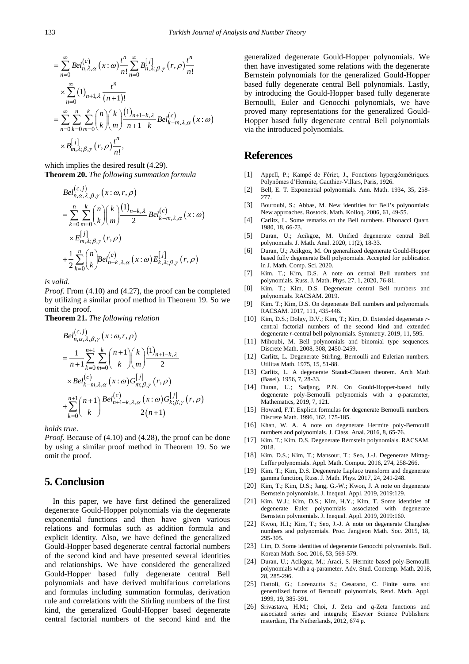<span id="page-9-0"></span>
$$
= \sum_{n=0}^{\infty} Bel_{n,\lambda,\alpha}^{(c)}(x:\omega) \frac{t^n}{n!} \sum_{n=0}^{\infty} B_{n,\lambda;\beta,\gamma}^{[j]}(r,\rho) \frac{t^n}{n!}
$$
  
\n
$$
\times \sum_{n=0}^{\infty} (1)_{n+1,\lambda} \frac{t^n}{(n+1)!}
$$
  
\n
$$
= \sum_{n=0}^{\infty} \sum_{k=0}^n \sum_{m=0}^k {n \choose k} {k \choose m} \frac{(1)_{n+1-k,\lambda}}{n+1-k} Bel_{k-m,\lambda,\alpha}^{(c)}(x:\omega)
$$
  
\n
$$
\times B_{m,\lambda;\beta,\gamma}^{[j]}(r,\rho) \frac{t^n}{n!},
$$

which implies the desired result (4.29). **Theorem 20.** *The following summation formula*

$$
Bel_{n,\alpha,\lambda,\beta,\gamma}^{(c,j)}(x:\omega,r,\rho)
$$
  
= 
$$
\sum_{k=0}^{n} \sum_{m=0}^{k} {n \choose k} {k \choose m} \frac{(1)_{n-k,\lambda}}{2} Bel_{k-m,\lambda,\alpha}^{(c)}(x:\omega)
$$
  

$$
\times E_{m,\lambda;\beta,\gamma}^{[j]}(r,\rho)
$$
  
+ 
$$
\frac{1}{2} \sum_{k=0}^{n} {n \choose k} Bel_{n-k,\lambda,\alpha}^{(c)}(x:\omega) E_{k,\lambda;\beta,\gamma}^{[j]}(r,\rho)
$$

*is valid*.

*Proof*. From (4.10) and (4.27), the proof can be completed by utilizing a similar proof method in Theorem 19. So we omit the proof.

**Theorem 21.** *The following relation*

$$
Bel_{n,\alpha,\lambda,\beta,\gamma}^{(c,j)}(x:\omega,r,\rho)
$$
  
= 
$$
\frac{1}{n+1} \sum_{k=0}^{n+1} \sum_{m=0}^{k} {n+1 \choose k} {k \choose m} \frac{(1)_{n+1-k,\lambda}}{2}
$$
  

$$
\times Bel_{k-m,\lambda,\alpha}^{(c)}(x:\omega)G_{m,\beta,\gamma}^{[j]}(r,\rho)
$$
  
+
$$
\sum_{k=0}^{n+1} {n+1 \choose k} \frac Bel_{n+1-k,\lambda,\alpha}^{(c)}(x:\omega)G_{k;\beta,\gamma}^{[j]}(r,\rho)
$$

*holds true*.

*Proof.* Because of (4.10) and (4.28), the proof can be done by using a similar proof method in Theorem 19. So we omit the proof.

### **5. Conclusion**

In this paper, we have first defined the generalized degenerate Gould-Hopper polynomials via the degenerate exponential functions and then have given various relations and formulas such as addition formula and explicit identity. Also, we have defined the generalized Gould-Hopper based degenerate central factorial numbers of the second kind and have presented several identities and relationships. We have considered the generalized Gould-Hopper based fully degenerate central Bell polynomials and have derived multifarious correlations and formulas including summation formulas, derivation rule and correlations with the Stirling numbers of the first kind, the generalized Gould-Hopper based degenerate central factorial numbers of the second kind and the generalized degenerate Gould-Hopper polynomials. We then have investigated some relations with the degenerate Bernstein polynomials for the generalized Gould-Hopper based fully degenerate central Bell polynomials. Lastly, by introducing the Gould-Hopper based fully degenerate Bernoulli, Euler and Genocchi polynomials, we have proved many representations for the generalized Gould-Hopper based fully degenerate central Bell polynomials via the introduced polynomials.

#### **References**

- [1] Appell, P.; Kampé de Fériet, J., Fonctions hypergéométriques. Polynômes d'Hermite, Gauthier-Villars, Paris, 1926.
- <span id="page-9-1"></span>[2] Bell, E. T. Exponential polynomials. Ann. Math. 1934, 35, 258- 277.
- [3] Bouroubi, S.; Abbas, M. New identities for Bell's polynomials: New approaches. Rostock. Math. Kolloq. 2006, 61, 49-55.
- [4] Carlitz, L. Some remarks on the Bell numbers. Fibonacci Quart. 1980, 18, 66-73.
- <span id="page-9-2"></span>[5] Duran, U.; Acikgoz, M. Unified degenerate central Bell polynomials. J. Math. Anal. 2020, 11(2), 18-33.
- [6] Duran, U.; Acikgoz, M. On generalized degenerate Gould-Hopper based fully degenerate Bell polynomials. Accepted for publication in J. Math. Comp. Sci. 2020.
- [7] Kim, T.; Kim, D.S. A note on central Bell numbers and polynomials. Russ. J. Math. Phys. 27, 1, 2020, 76-81.
- <span id="page-9-6"></span>[8] Kim. T.; Kim, D.S. Degenerate central Bell numbers and polynomials. RACSAM. 2019.
- <span id="page-9-7"></span>[9] Kim. T.; Kim, D.S. On degenerate Bell numbers and polynomials. RACSAM. 2017, 111, 435-446.
- [10] Kim, D.S.; Dolgy, D.V.; Kim, T.; Kim, D. Extended degenerate *r*central factorial numbers of the second kind and extended degenerate *r*-central bell polynomials. Symmetry. 2019, 11, 595.
- [11] Mihoubi, M. Bell polynomials and binomial type sequences. Discrete Math. 2008, 308, 2450-2459.
- <span id="page-9-3"></span>[12] Carlitz, L. Degenerate Stirling, Bernoulli and Eulerian numbers. Utilitas Math. 1975, 15, 51-88.
- <span id="page-9-4"></span>[13] Carlitz, L. A degenerate Staudt-Clausen theorem. Arch Math (Basel). 1956, 7, 28-33.
- <span id="page-9-12"></span>[14] Duran, U.; Sadjang, P.N. On Gould-Hopper-based fully degenerate poly-Bernoulli polynomials with a *q*-parameter, Mathematics, 2019, 7, 121.
- [15] Howard, F.T. Explicit formulas for degenerate Bernoulli numbers. Discrete Math. 1996, 162, 175-185.
- <span id="page-9-13"></span>[16] Khan, W. A. A note on degenerate Hermite poly-Bernoulli numbers and polynomials. J. Class. Anal. 2016, 8, 65-76.
- <span id="page-9-5"></span>[17] Kim. T.; Kim, D.S. Degenerate Bernstein polynomials. RACSAM. 2018.
- <span id="page-9-8"></span>[18] Kim, D.S.; Kim, T.; Mansour, T.; Seo, J.-J. Degenerate Mittag-Leffer polynomials. Appl. Math. Comput. 2016, 274, 258-266.
- <span id="page-9-9"></span>[19] Kim. T.; Kim, D.S. Degenerate Laplace transform and degenerate gamma function, Russ. J. Math. Phys. 2017, 24, 241-248.
- [20] Kim, T.; Kim, D.S.; Jang, G.-W.; Kwon, J. A note on degenerate Bernstein polynomials. J. Inequal. Appl. 2019, 2019:129.
- [21] Kim, W.J.; Kim, D.S.; Kim, H.Y.; Kim, T. Some identities of degenerate Euler polynomials associated with degenerate Bernstein polynomials. J. Inequal. Appl. 2019, 2019:160.
- [22] Kwon, H.I.; Kim, T.; Seo, J.-J. A note on degenerate Changhee numbers and polynomials. Proc. Jangjeon Math. Soc. 2015, 18, 295-305.
- [23] Lim, D. Some identities of degenerate Genocchi polynomials. Bull. Korean Math. Soc. 2016, 53, 569-579.
- [24] Duran, U.; Acikgoz, M.; Araci, S. Hermite based poly-Bernoulli polynomials with a *q*-parameter. Adv. Stud. Contemp. Math. 2018, 28, 285-296.
- <span id="page-9-10"></span>[25] Dattoli, G.: Lorenzutta S.: Cesarano, C. Finite sums and generalized forms of Bernoulli polynomials, Rend. Math. Appl. 1999, 19, 385-391.
- <span id="page-9-11"></span>[26] Srivastava, H.M.; Choi, J. Zeta and *q*-Zeta functions and associated series and integrals; Elsevier Science Publishers: msterdam, The Netherlands, 2012, 674 p.